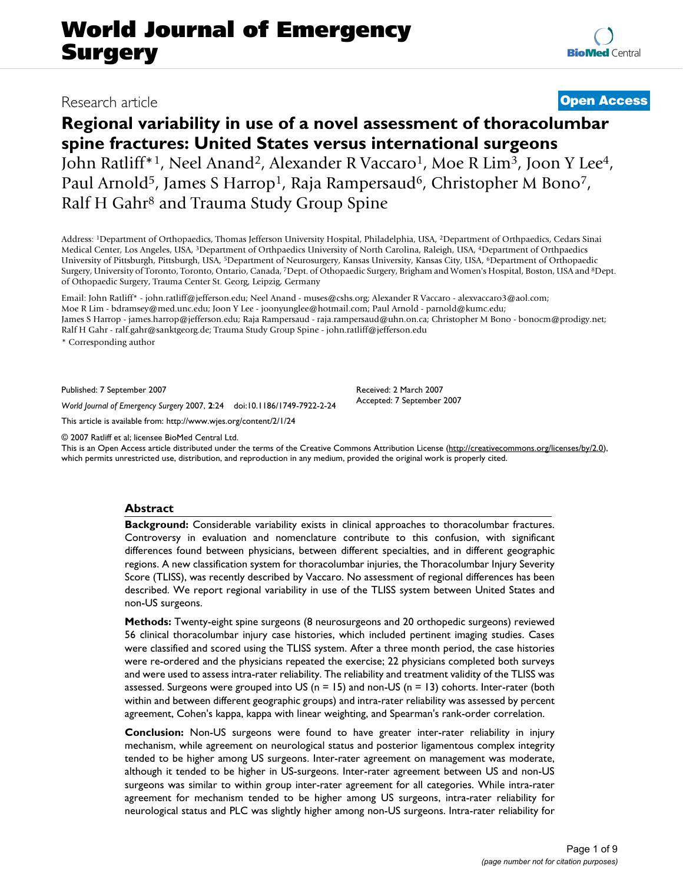# Research article **[Open Access](http://www.biomedcentral.com/info/about/charter/)**

**Regional variability in use of a novel assessment of thoracolumbar spine fractures: United States versus international surgeons** John Ratliff<sup>\*1</sup>, Neel Anand<sup>2</sup>, Alexander R Vaccaro<sup>1</sup>, Moe R Lim<sup>3</sup>, Joon Y Lee<sup>4</sup>, Paul Arnold<sup>5</sup>, James S Harrop<sup>1</sup>, Raja Rampersaud<sup>6</sup>, Christopher M Bono<sup>7</sup>, Ralf H Gahr8 and Trauma Study Group Spine

Address: 1Department of Orthopaedics, Thomas Jefferson University Hospital, Philadelphia, USA, 2Department of Orthpaedics, Cedars Sinai Medical Center, Los Angeles, USA, 3Department of Orthpaedics University of North Carolina, Raleigh, USA, 4Department of Orthpaedics University of Pittsburgh, Pittsburgh, USA, 5Department of Neurosurgery, Kansas University, Kansas City, USA, 6Department of Orthopaedic Surgery, University of Toronto, Toronto, Ontario, Canada, 7Dept. of Othopaedic Surgery, Brigham and Women's Hospital, Boston, USA and 8Dept. of Othopaedic Surgery, Trauma Center St. Georg, Leipzig, Germany

Email: John Ratliff\* - john.ratliff@jefferson.edu; Neel Anand - muses@cshs.org; Alexander R Vaccaro - alexvaccaro3@aol.com; Moe R Lim - bdramsey@med.unc.edu; Joon Y Lee - joonyunglee@hotmail.com; Paul Arnold - parnold@kumc.edu; James S Harrop - james.harrop@jefferson.edu; Raja Rampersaud - raja.rampersaud@uhn.on.ca; Christopher M Bono - bonocm@prodigy.net; Ralf H Gahr - ralf.gahr@sanktgeorg.de; Trauma Study Group Spine - john.ratliff@jefferson.edu \* Corresponding author

Published: 7 September 2007

*World Journal of Emergency Surgery* 2007, **2**:24 doi:10.1186/1749-7922-2-24

[This article is available from: http://www.wjes.org/content/2/1/24](http://www.wjes.org/content/2/1/24)

© 2007 Ratliff et al; licensee BioMed Central Ltd.

This is an Open Access article distributed under the terms of the Creative Commons Attribution License [\(http://creativecommons.org/licenses/by/2.0\)](http://creativecommons.org/licenses/by/2.0), which permits unrestricted use, distribution, and reproduction in any medium, provided the original work is properly cited.

Received: 2 March 2007 Accepted: 7 September 2007

# **Abstract**

**Background:** Considerable variability exists in clinical approaches to thoracolumbar fractures. Controversy in evaluation and nomenclature contribute to this confusion, with significant differences found between physicians, between different specialties, and in different geographic regions. A new classification system for thoracolumbar injuries, the Thoracolumbar Injury Severity Score (TLISS), was recently described by Vaccaro. No assessment of regional differences has been described. We report regional variability in use of the TLISS system between United States and non-US surgeons.

**Methods:** Twenty-eight spine surgeons (8 neurosurgeons and 20 orthopedic surgeons) reviewed 56 clinical thoracolumbar injury case histories, which included pertinent imaging studies. Cases were classified and scored using the TLISS system. After a three month period, the case histories were re-ordered and the physicians repeated the exercise; 22 physicians completed both surveys and were used to assess intra-rater reliability. The reliability and treatment validity of the TLISS was assessed. Surgeons were grouped into US ( $n = 15$ ) and non-US ( $n = 13$ ) cohorts. Inter-rater (both within and between different geographic groups) and intra-rater reliability was assessed by percent agreement, Cohen's kappa, kappa with linear weighting, and Spearman's rank-order correlation.

**Conclusion:** Non-US surgeons were found to have greater inter-rater reliability in injury mechanism, while agreement on neurological status and posterior ligamentous complex integrity tended to be higher among US surgeons. Inter-rater agreement on management was moderate, although it tended to be higher in US-surgeons. Inter-rater agreement between US and non-US surgeons was similar to within group inter-rater agreement for all categories. While intra-rater agreement for mechanism tended to be higher among US surgeons, intra-rater reliability for neurological status and PLC was slightly higher among non-US surgeons. Intra-rater reliability for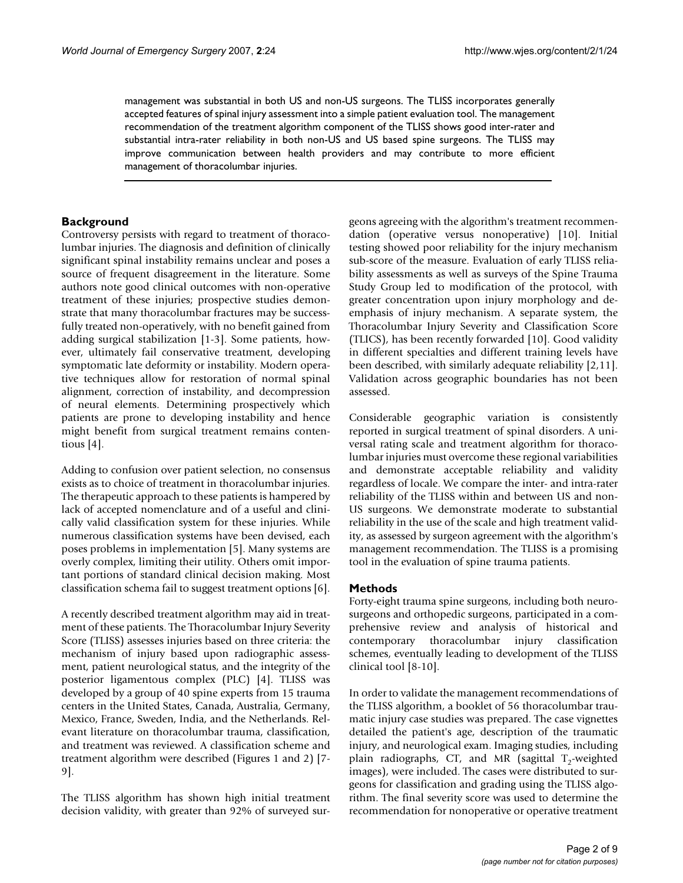management was substantial in both US and non-US surgeons. The TLISS incorporates generally accepted features of spinal injury assessment into a simple patient evaluation tool. The management recommendation of the treatment algorithm component of the TLISS shows good inter-rater and substantial intra-rater reliability in both non-US and US based spine surgeons. The TLISS may improve communication between health providers and may contribute to more efficient management of thoracolumbar injuries.

# **Background**

Controversy persists with regard to treatment of thoracolumbar injuries. The diagnosis and definition of clinically significant spinal instability remains unclear and poses a source of frequent disagreement in the literature. Some authors note good clinical outcomes with non-operative treatment of these injuries; prospective studies demonstrate that many thoracolumbar fractures may be successfully treated non-operatively, with no benefit gained from adding surgical stabilization [1-3]. Some patients, however, ultimately fail conservative treatment, developing symptomatic late deformity or instability. Modern operative techniques allow for restoration of normal spinal alignment, correction of instability, and decompression of neural elements. Determining prospectively which patients are prone to developing instability and hence might benefit from surgical treatment remains contentious [4].

Adding to confusion over patient selection, no consensus exists as to choice of treatment in thoracolumbar injuries. The therapeutic approach to these patients is hampered by lack of accepted nomenclature and of a useful and clinically valid classification system for these injuries. While numerous classification systems have been devised, each poses problems in implementation [5]. Many systems are overly complex, limiting their utility. Others omit important portions of standard clinical decision making. Most classification schema fail to suggest treatment options [6].

A recently described treatment algorithm may aid in treatment of these patients. The Thoracolumbar Injury Severity Score (TLISS) assesses injuries based on three criteria: the mechanism of injury based upon radiographic assessment, patient neurological status, and the integrity of the posterior ligamentous complex (PLC) [4]. TLISS was developed by a group of 40 spine experts from 15 trauma centers in the United States, Canada, Australia, Germany, Mexico, France, Sweden, India, and the Netherlands. Relevant literature on thoracolumbar trauma, classification, and treatment was reviewed. A classification scheme and treatment algorithm were described (Figures 1 and 2) [7- 9].

The TLISS algorithm has shown high initial treatment decision validity, with greater than 92% of surveyed surgeons agreeing with the algorithm's treatment recommendation (operative versus nonoperative) [10]. Initial testing showed poor reliability for the injury mechanism sub-score of the measure. Evaluation of early TLISS reliability assessments as well as surveys of the Spine Trauma Study Group led to modification of the protocol, with greater concentration upon injury morphology and deemphasis of injury mechanism. A separate system, the Thoracolumbar Injury Severity and Classification Score (TLICS), has been recently forwarded [10]. Good validity in different specialties and different training levels have been described, with similarly adequate reliability [2,11]. Validation across geographic boundaries has not been assessed.

Considerable geographic variation is consistently reported in surgical treatment of spinal disorders. A universal rating scale and treatment algorithm for thoracolumbar injuries must overcome these regional variabilities and demonstrate acceptable reliability and validity regardless of locale. We compare the inter- and intra-rater reliability of the TLISS within and between US and non-US surgeons. We demonstrate moderate to substantial reliability in the use of the scale and high treatment validity, as assessed by surgeon agreement with the algorithm's management recommendation. The TLISS is a promising tool in the evaluation of spine trauma patients.

# **Methods**

Forty-eight trauma spine surgeons, including both neurosurgeons and orthopedic surgeons, participated in a comprehensive review and analysis of historical and contemporary thoracolumbar injury classification schemes, eventually leading to development of the TLISS clinical tool [8-10].

In order to validate the management recommendations of the TLISS algorithm, a booklet of 56 thoracolumbar traumatic injury case studies was prepared. The case vignettes detailed the patient's age, description of the traumatic injury, and neurological exam. Imaging studies, including plain radiographs, CT, and MR (sagittal  $T_2$ -weighted images), were included. The cases were distributed to surgeons for classification and grading using the TLISS algorithm. The final severity score was used to determine the recommendation for nonoperative or operative treatment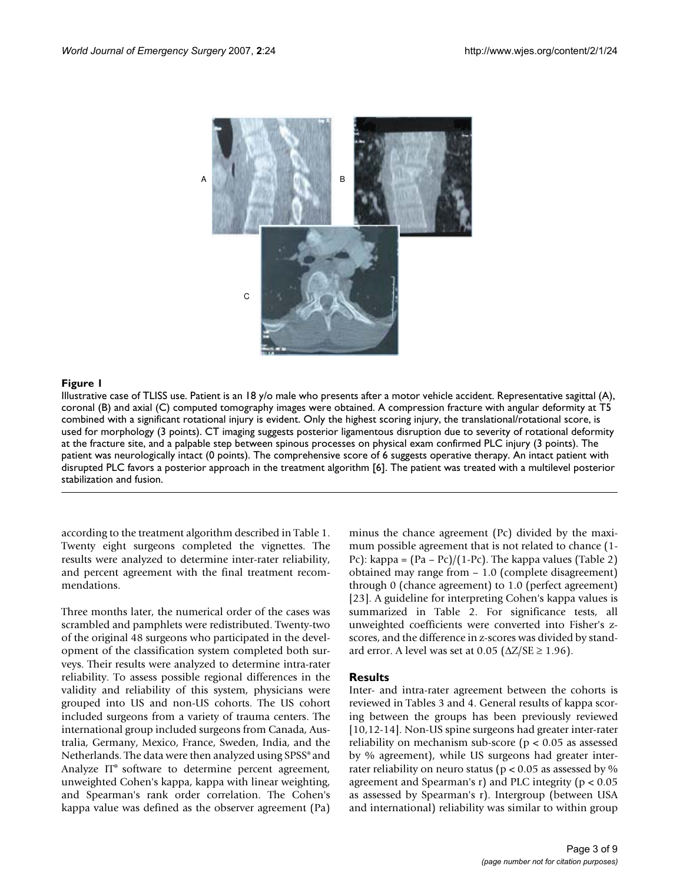

### **Figure 1**

Illustrative case of TLISS use. Patient is an 18 y/o male who presents after a motor vehicle accident. Representative sagittal (A), coronal (B) and axial (C) computed tomography images were obtained. A compression fracture with angular deformity at T5 combined with a significant rotational injury is evident. Only the highest scoring injury, the translational/rotational score, is used for morphology (3 points). CT imaging suggests posterior ligamentous disruption due to severity of rotational deformity at the fracture site, and a palpable step between spinous processes on physical exam confirmed PLC injury (3 points). The patient was neurologically intact (0 points). The comprehensive score of 6 suggests operative therapy. An intact patient with disrupted PLC favors a posterior approach in the treatment algorithm [6]. The patient was treated with a multilevel posterior stabilization and fusion.

according to the treatment algorithm described in Table 1. Twenty eight surgeons completed the vignettes. The results were analyzed to determine inter-rater reliability, and percent agreement with the final treatment recommendations.

Three months later, the numerical order of the cases was scrambled and pamphlets were redistributed. Twenty-two of the original 48 surgeons who participated in the development of the classification system completed both surveys. Their results were analyzed to determine intra-rater reliability. To assess possible regional differences in the validity and reliability of this system, physicians were grouped into US and non-US cohorts. The US cohort included surgeons from a variety of trauma centers. The international group included surgeons from Canada, Australia, Germany, Mexico, France, Sweden, India, and the Netherlands. The data were then analyzed using SPSS® and Analyze IT® software to determine percent agreement, unweighted Cohen's kappa, kappa with linear weighting, and Spearman's rank order correlation. The Cohen's kappa value was defined as the observer agreement (Pa) minus the chance agreement (Pc) divided by the maximum possible agreement that is not related to chance (1- Pc): kappa =  $(Pa - Pc)/(1-Pc)$ . The kappa values (Table 2) obtained may range from – 1.0 (complete disagreement) through 0 (chance agreement) to 1.0 (perfect agreement) [23]. A guideline for interpreting Cohen's kappa values is summarized in Table 2. For significance tests, all unweighted coefficients were converted into Fisher's zscores, and the difference in z-scores was divided by standard error. A level was set at 0.05 ( $\Delta Z/SE \ge 1.96$ ).

# **Results**

Inter- and intra-rater agreement between the cohorts is reviewed in Tables 3 and 4. General results of kappa scoring between the groups has been previously reviewed [10,12-14]. Non-US spine surgeons had greater inter-rater reliability on mechanism sub-score ( $p < 0.05$  as assessed by % agreement), while US surgeons had greater interrater reliability on neuro status ( $p < 0.05$  as assessed by % agreement and Spearman's r) and PLC integrity ( $p < 0.05$ as assessed by Spearman's r). Intergroup (between USA and international) reliability was similar to within group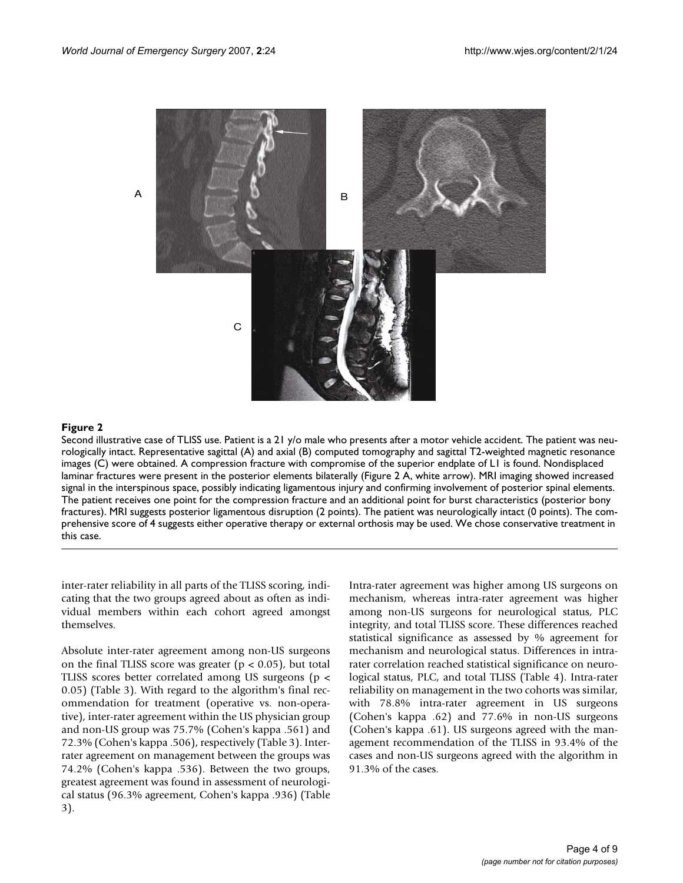

### **Figure 2**

Second illustrative case of TLISS use. Patient is a 21 y/o male who presents after a motor vehicle accident. The patient was neurologically intact. Representative sagittal (A) and axial (B) computed tomography and sagittal T2-weighted magnetic resonance images (C) were obtained. A compression fracture with compromise of the superior endplate of L1 is found. Nondisplaced laminar fractures were present in the posterior elements bilaterally (Figure 2 A, white arrow). MRI imaging showed increased signal in the interspinous space, possibly indicating ligamentous injury and confirming involvement of posterior spinal elements. The patient receives one point for the compression fracture and an additional point for burst characteristics (posterior bony fractures). MRI suggests posterior ligamentous disruption (2 points). The patient was neurologically intact (0 points). The comprehensive score of 4 suggests either operative therapy or external orthosis may be used. We chose conservative treatment in this case.

inter-rater reliability in all parts of the TLISS scoring, indicating that the two groups agreed about as often as individual members within each cohort agreed amongst themselves.

Absolute inter-rater agreement among non-US surgeons on the final TLISS score was greater ( $p < 0.05$ ), but total TLISS scores better correlated among US surgeons (p < 0.05) (Table 3). With regard to the algorithm's final recommendation for treatment (operative vs. non-operative), inter-rater agreement within the US physician group and non-US group was 75.7% (Cohen's kappa .561) and 72.3% (Cohen's kappa .506), respectively (Table 3). Interrater agreement on management between the groups was 74.2% (Cohen's kappa .536). Between the two groups, greatest agreement was found in assessment of neurological status (96.3% agreement, Cohen's kappa .936) (Table 3).

Intra-rater agreement was higher among US surgeons on mechanism, whereas intra-rater agreement was higher among non-US surgeons for neurological status, PLC integrity, and total TLISS score. These differences reached statistical significance as assessed by % agreement for mechanism and neurological status. Differences in intrarater correlation reached statistical significance on neurological status, PLC, and total TLISS (Table 4). Intra-rater reliability on management in the two cohorts was similar, with 78.8% intra-rater agreement in US surgeons (Cohen's kappa .62) and 77.6% in non-US surgeons (Cohen's kappa .61). US surgeons agreed with the management recommendation of the TLISS in 93.4% of the cases and non-US surgeons agreed with the algorithm in 91.3% of the cases.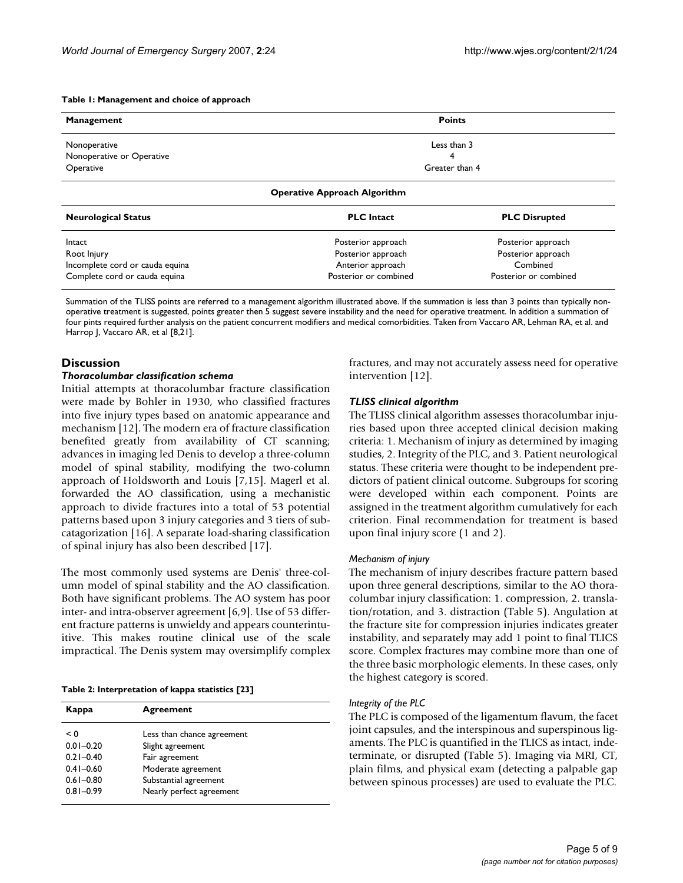**Table 1: Management and choice of approach**

| <b>Management</b>               |                                     | <b>Points</b>         |  |
|---------------------------------|-------------------------------------|-----------------------|--|
| Nonoperative                    |                                     | Less than 3           |  |
| Nonoperative or Operative       | 4                                   |                       |  |
| Operative                       | Greater than 4                      |                       |  |
|                                 | <b>Operative Approach Algorithm</b> |                       |  |
| <b>Neurological Status</b>      | <b>PLC</b> Intact                   | <b>PLC Disrupted</b>  |  |
| Intact                          | Posterior approach                  | Posterior approach    |  |
| Root Injury                     | Posterior approach                  | Posterior approach    |  |
| Incomplete cord or cauda equina | Anterior approach                   | Combined              |  |
| Complete cord or cauda equina   | Posterior or combined               | Posterior or combined |  |

Summation of the TLISS points are referred to a management algorithm illustrated above. If the summation is less than 3 points than typically nonoperative treatment is suggested, points greater then 5 suggest severe instability and the need for operative treatment. In addition a summation of four pints required further analysis on the patient concurrent modifiers and medical comorbidities. Taken from Vaccaro AR, Lehman RA, et al. and Harrop J, Vaccaro AR, et al [8,21].

# **Discussion**

#### *Thoracolumbar classification schema*

Initial attempts at thoracolumbar fracture classification were made by Bohler in 1930, who classified fractures into five injury types based on anatomic appearance and mechanism [12]. The modern era of fracture classification benefited greatly from availability of CT scanning; advances in imaging led Denis to develop a three-column model of spinal stability, modifying the two-column approach of Holdsworth and Louis [7,15]. Magerl et al. forwarded the AO classification, using a mechanistic approach to divide fractures into a total of 53 potential patterns based upon 3 injury categories and 3 tiers of subcatagorization [16]. A separate load-sharing classification of spinal injury has also been described [17].

The most commonly used systems are Denis' three-column model of spinal stability and the AO classification. Both have significant problems. The AO system has poor inter- and intra-observer agreement [6,9]. Use of 53 different fracture patterns is unwieldy and appears counterintuitive. This makes routine clinical use of the scale impractical. The Denis system may oversimplify complex

**Table 2: Interpretation of kappa statistics [23]**

| Kappa         | <b>Agreement</b>           |
|---------------|----------------------------|
| $\leq 0$      | Less than chance agreement |
| $0.01 - 0.20$ | Slight agreement           |
| $0.21 - 0.40$ | Fair agreement             |
| $0.41 - 0.60$ | Moderate agreement         |
| $0.61 - 0.80$ | Substantial agreement      |
| $0.81 - 0.99$ | Nearly perfect agreement   |
|               |                            |

fractures, and may not accurately assess need for operative intervention [12].

#### *TLISS clinical algorithm*

The TLISS clinical algorithm assesses thoracolumbar injuries based upon three accepted clinical decision making criteria: 1. Mechanism of injury as determined by imaging studies, 2. Integrity of the PLC, and 3. Patient neurological status. These criteria were thought to be independent predictors of patient clinical outcome. Subgroups for scoring were developed within each component. Points are assigned in the treatment algorithm cumulatively for each criterion. Final recommendation for treatment is based upon final injury score (1 and 2).

#### *Mechanism of injury*

The mechanism of injury describes fracture pattern based upon three general descriptions, similar to the AO thoracolumbar injury classification: 1. compression, 2. translation/rotation, and 3. distraction (Table 5). Angulation at the fracture site for compression injuries indicates greater instability, and separately may add 1 point to final TLICS score. Complex fractures may combine more than one of the three basic morphologic elements. In these cases, only the highest category is scored.

### *Integrity of the PLC*

The PLC is composed of the ligamentum flavum, the facet joint capsules, and the interspinous and superspinous ligaments. The PLC is quantified in the TLICS as intact, indeterminate, or disrupted (Table 5). Imaging via MRI, CT, plain films, and physical exam (detecting a palpable gap between spinous processes) are used to evaluate the PLC.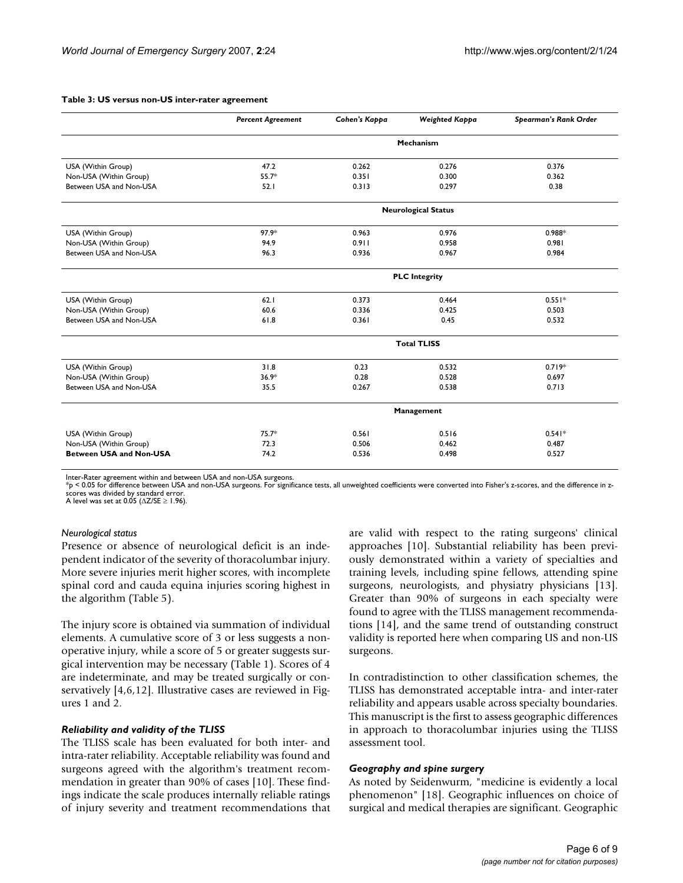#### **Table 3: US versus non-US inter-rater agreement**

|                                | <b>Percent Agreement</b> | Cohen's Kappa              | Weighted Kappa | <b>Spearman's Rank Order</b> |
|--------------------------------|--------------------------|----------------------------|----------------|------------------------------|
|                                | Mechanism                |                            |                |                              |
| USA (Within Group)             | 47.2                     | 0.262                      | 0.276          | 0.376                        |
| Non-USA (Within Group)         | $55.7*$                  | 0.351                      | 0.300          | 0.362                        |
| Between USA and Non-USA        | 52.1                     | 0.313                      | 0.297          | 0.38                         |
|                                |                          | <b>Neurological Status</b> |                |                              |
| USA (Within Group)             | 97.9*                    | 0.963                      | 0.976          | 0.988*                       |
| Non-USA (Within Group)         | 94.9                     | 0.911                      | 0.958          | 0.981                        |
| Between USA and Non-USA        | 96.3                     | 0.936                      | 0.967          | 0.984                        |
|                                |                          | <b>PLC</b> Integrity       |                |                              |
| USA (Within Group)             | 62.1                     | 0.373                      | 0.464          | $0.551*$                     |
| Non-USA (Within Group)         | 60.6                     | 0.336                      | 0.425          | 0.503                        |
| Between USA and Non-USA        | 61.8                     | 0.361                      | 0.45           | 0.532                        |
|                                | <b>Total TLISS</b>       |                            |                |                              |
| USA (Within Group)             | 31.8                     | 0.23                       | 0.532          | $0.719*$                     |
| Non-USA (Within Group)         | $36.9*$                  | 0.28                       | 0.528          | 0.697                        |
| Between USA and Non-USA        | 35.5                     | 0.267                      | 0.538          | 0.713                        |
|                                |                          |                            | Management     |                              |
| USA (Within Group)             | $75.7*$                  | 0.561                      | 0.516          | $0.541*$                     |
| Non-USA (Within Group)         | 72.3                     | 0.506                      | 0.462          | 0.487                        |
| <b>Between USA and Non-USA</b> | 74.2                     | 0.536                      | 0.498          | 0.527                        |

Inter-Rater agreement within and between USA and non-USA surgeons.

 $*_\text{p}$  < 0.05 for difference between USA and non-USA surgeons. For significance tests, all unweighted coefficients were converted into Fisher's z-scores, and the difference in zscores was divided by standard error. A level was set at 0.05 (∆Z/SE ≥ 1.96).

*Neurological status*

Presence or absence of neurological deficit is an independent indicator of the severity of thoracolumbar injury. More severe injuries merit higher scores, with incomplete spinal cord and cauda equina injuries scoring highest in the algorithm (Table 5).

The injury score is obtained via summation of individual elements. A cumulative score of 3 or less suggests a nonoperative injury, while a score of 5 or greater suggests surgical intervention may be necessary (Table 1). Scores of 4 are indeterminate, and may be treated surgically or conservatively [4,6,12]. Illustrative cases are reviewed in Figures 1 and 2.

#### *Reliability and validity of the TLISS*

The TLISS scale has been evaluated for both inter- and intra-rater reliability. Acceptable reliability was found and surgeons agreed with the algorithm's treatment recommendation in greater than 90% of cases [10]. These findings indicate the scale produces internally reliable ratings of injury severity and treatment recommendations that are valid with respect to the rating surgeons' clinical approaches [10]. Substantial reliability has been previously demonstrated within a variety of specialties and training levels, including spine fellows, attending spine surgeons, neurologists, and physiatry physicians [13]. Greater than 90% of surgeons in each specialty were found to agree with the TLISS management recommendations [14], and the same trend of outstanding construct validity is reported here when comparing US and non-US surgeons.

In contradistinction to other classification schemes, the TLISS has demonstrated acceptable intra- and inter-rater reliability and appears usable across specialty boundaries. This manuscript is the first to assess geographic differences in approach to thoracolumbar injuries using the TLISS assessment tool.

#### *Geography and spine surgery*

As noted by Seidenwurm, "medicine is evidently a local phenomenon" [18]. Geographic influences on choice of surgical and medical therapies are significant. Geographic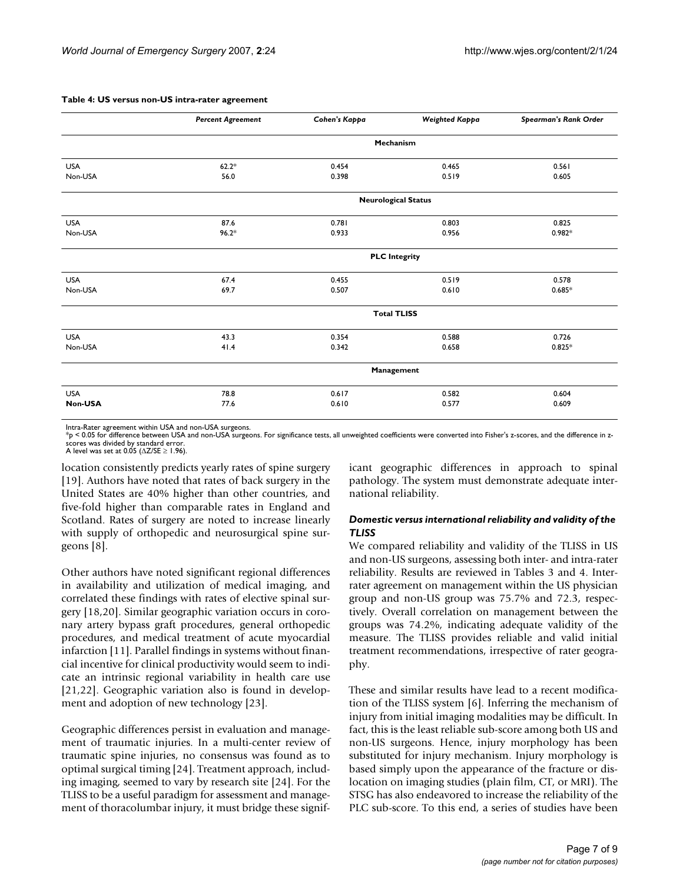|            | <b>Percent Agreement</b> | Cohen's Kappa | Weighted Kappa             | <b>Spearman's Rank Order</b> |
|------------|--------------------------|---------------|----------------------------|------------------------------|
|            |                          |               | Mechanism                  |                              |
| <b>USA</b> | $62.2*$                  | 0.454         | 0.465                      | 0.561                        |
| Non-USA    | 56.0                     | 0.398         | 0.519                      | 0.605                        |
|            |                          |               | <b>Neurological Status</b> |                              |
| <b>USA</b> | 87.6                     | 0.781         | 0.803                      | 0.825                        |
| Non-USA    | $96.2*$                  | 0.933         | 0.956                      | $0.982*$                     |
|            |                          |               | <b>PLC</b> Integrity       |                              |
| <b>USA</b> | 67.4                     | 0.455         | 0.519                      | 0.578                        |
| Non-USA    | 69.7                     | 0.507         | 0.610                      | $0.685*$                     |
|            |                          |               | <b>Total TLISS</b>         |                              |
| <b>USA</b> | 43.3                     | 0.354         | 0.588                      | 0.726                        |
| Non-USA    | 41.4                     | 0.342         | 0.658                      | $0.825*$                     |
|            |                          |               | Management                 |                              |
| <b>USA</b> | 78.8                     | 0.617         | 0.582                      | 0.604                        |
| Non-USA    | 77.6                     | 0.610         | 0.577                      | 0.609                        |

#### **Table 4: US versus non-US intra-rater agreement**

Intra-Rater agreement within USA and non-USA surgeons.

 $*_\text{p}$  < 0.05 for difference between USA and non-USA surgeons. For significance tests, all unweighted coefficients were converted into Fisher's z-scores, and the difference in zscores was divided by standard error. A level was set at 0.05 (∆Z/SE ≥ 1.96).

location consistently predicts yearly rates of spine surgery [19]. Authors have noted that rates of back surgery in the United States are 40% higher than other countries, and five-fold higher than comparable rates in England and Scotland. Rates of surgery are noted to increase linearly with supply of orthopedic and neurosurgical spine surgeons [8].

Other authors have noted significant regional differences in availability and utilization of medical imaging, and correlated these findings with rates of elective spinal surgery [18,20]. Similar geographic variation occurs in coronary artery bypass graft procedures, general orthopedic procedures, and medical treatment of acute myocardial infarction [11]. Parallel findings in systems without financial incentive for clinical productivity would seem to indicate an intrinsic regional variability in health care use [21,22]. Geographic variation also is found in development and adoption of new technology [23].

Geographic differences persist in evaluation and management of traumatic injuries. In a multi-center review of traumatic spine injuries, no consensus was found as to optimal surgical timing [24]. Treatment approach, including imaging, seemed to vary by research site [24]. For the TLISS to be a useful paradigm for assessment and management of thoracolumbar injury, it must bridge these significant geographic differences in approach to spinal pathology. The system must demonstrate adequate international reliability.

# *Domestic versus international reliability and validity of the TLISS*

We compared reliability and validity of the TLISS in US and non-US surgeons, assessing both inter- and intra-rater reliability. Results are reviewed in Tables 3 and 4. Interrater agreement on management within the US physician group and non-US group was 75.7% and 72.3, respectively. Overall correlation on management between the groups was 74.2%, indicating adequate validity of the measure. The TLISS provides reliable and valid initial treatment recommendations, irrespective of rater geography.

These and similar results have lead to a recent modification of the TLISS system [6]. Inferring the mechanism of injury from initial imaging modalities may be difficult. In fact, this is the least reliable sub-score among both US and non-US surgeons. Hence, injury morphology has been substituted for injury mechanism. Injury morphology is based simply upon the appearance of the fracture or dislocation on imaging studies (plain film, CT, or MRI). The STSG has also endeavored to increase the reliability of the PLC sub-score. To this end, a series of studies have been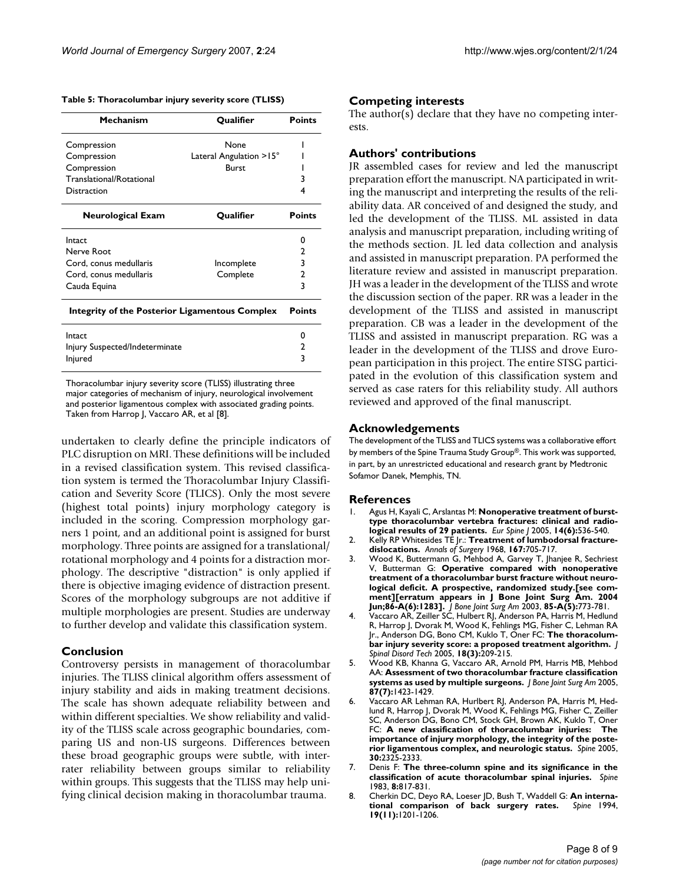|  | Table 5: Thoracolumbar injury severity score (TLISS) |  |  |  |  |
|--|------------------------------------------------------|--|--|--|--|
|--|------------------------------------------------------|--|--|--|--|

| Mechanism                                             | Qualifier               | <b>Points</b> |
|-------------------------------------------------------|-------------------------|---------------|
| Compression                                           | None                    |               |
| Compression                                           | Lateral Angulation >15° |               |
| Compression                                           | Burst                   |               |
| Translational/Rotational                              |                         | 3             |
| Distraction                                           |                         | 4             |
| Neurological Exam                                     | Qualifier               | <b>Points</b> |
| Intact                                                |                         | 0             |
| Nerve Root                                            |                         | 2             |
| Cord, conus medullaris                                | Incomplete              | 3             |
| Cord, conus medullaris                                | Complete                | 2             |
| Cauda Equina                                          |                         | 3             |
| <b>Integrity of the Posterior Ligamentous Complex</b> |                         | <b>Points</b> |
| Intact                                                |                         | 0             |
| Injury Suspected/Indeterminate                        |                         | 2             |
| Injured                                               |                         | 3             |
|                                                       |                         |               |

Thoracolumbar injury severity score (TLISS) illustrating three major categories of mechanism of injury, neurological involvement and posterior ligamentous complex with associated grading points. Taken from Harrop J, Vaccaro AR, et al [8].

undertaken to clearly define the principle indicators of PLC disruption on MRI. These definitions will be included in a revised classification system. This revised classification system is termed the Thoracolumbar Injury Classification and Severity Score (TLICS). Only the most severe (highest total points) injury morphology category is included in the scoring. Compression morphology garners 1 point, and an additional point is assigned for burst morphology. Three points are assigned for a translational/ rotational morphology and 4 points for a distraction morphology. The descriptive "distraction" is only applied if there is objective imaging evidence of distraction present. Scores of the morphology subgroups are not additive if multiple morphologies are present. Studies are underway to further develop and validate this classification system.

# **Conclusion**

Controversy persists in management of thoracolumbar injuries. The TLISS clinical algorithm offers assessment of injury stability and aids in making treatment decisions. The scale has shown adequate reliability between and within different specialties. We show reliability and validity of the TLISS scale across geographic boundaries, comparing US and non-US surgeons. Differences between these broad geographic groups were subtle, with interrater reliability between groups similar to reliability within groups. This suggests that the TLISS may help unifying clinical decision making in thoracolumbar trauma.

# **Competing interests**

The author(s) declare that they have no competing interests.

# **Authors' contributions**

JR assembled cases for review and led the manuscript preparation effort the manuscript. NA participated in writing the manuscript and interpreting the results of the reliability data. AR conceived of and designed the study, and led the development of the TLISS. ML assisted in data analysis and manuscript preparation, including writing of the methods section. JL led data collection and analysis and assisted in manuscript preparation. PA performed the literature review and assisted in manuscript preparation. JH was a leader in the development of the TLISS and wrote the discussion section of the paper. RR was a leader in the development of the TLISS and assisted in manuscript preparation. CB was a leader in the development of the TLISS and assisted in manuscript preparation. RG was a leader in the development of the TLISS and drove European participation in this project. The entire STSG participated in the evolution of this classification system and served as case raters for this reliability study. All authors reviewed and approved of the final manuscript.

### **Acknowledgements**

The development of the TLISS and TLICS systems was a collaborative effort by members of the Spine Trauma Study Group®. This work was supported, in part, by an unrestricted educational and research grant by Medtronic Sofamor Danek, Memphis, TN.

#### **References**

- 1. Agus H, Kayali C, Arslantas M: **[Nonoperative treatment of burst](http://www.ncbi.nlm.nih.gov/entrez/query.fcgi?cmd=Retrieve&db=PubMed&dopt=Abstract&list_uids=15168239)[type thoracolumbar vertebra fractures: clinical and radio](http://www.ncbi.nlm.nih.gov/entrez/query.fcgi?cmd=Retrieve&db=PubMed&dopt=Abstract&list_uids=15168239)[logical results of 29 patients.](http://www.ncbi.nlm.nih.gov/entrez/query.fcgi?cmd=Retrieve&db=PubMed&dopt=Abstract&list_uids=15168239)** *Eur Spine J* 2005, **14(6):**536-540.
- 2. Kelly RP Whitesides TE Jr.: **[Treatment of lumbodorsal fracture](http://www.ncbi.nlm.nih.gov/entrez/query.fcgi?cmd=Retrieve&db=PubMed&dopt=Abstract&list_uids=5646292)[dislocations.](http://www.ncbi.nlm.nih.gov/entrez/query.fcgi?cmd=Retrieve&db=PubMed&dopt=Abstract&list_uids=5646292)** *Annals of Surgery* 1968, **167:**705-717.
- 3. Wood K, Buttermann G, Mehbod A, Garvey T, Jhanjee R, Sechriest V, Butterman G: **[Operative compared with nonoperative](http://www.ncbi.nlm.nih.gov/entrez/query.fcgi?cmd=Retrieve&db=PubMed&dopt=Abstract&list_uids=12728024) treatment of a thoracolumbar burst fracture without neuro[logical deficit. A prospective, randomized study.\[see com](http://www.ncbi.nlm.nih.gov/entrez/query.fcgi?cmd=Retrieve&db=PubMed&dopt=Abstract&list_uids=12728024)ment][erratum appears in J Bone Joint Surg Am. 2004 [Jun;86-A\(6\):1283\].](http://www.ncbi.nlm.nih.gov/entrez/query.fcgi?cmd=Retrieve&db=PubMed&dopt=Abstract&list_uids=12728024)** *J Bone Joint Surg Am* 2003, **85-A(5):**773-781.
- 4. Vaccaro AR, Zeiller SC, Hulbert RJ, Anderson PA, Harris M, Hedlund R, Harrop J, Dvorak M, Wood K, Fehlings MG, Fisher C, Lehman RA Jr., Anderson DG, Bono CM, Kuklo T, Oner FC: **[The thoracolum](http://www.ncbi.nlm.nih.gov/entrez/query.fcgi?cmd=Retrieve&db=PubMed&dopt=Abstract&list_uids=15905761)[bar injury severity score: a proposed treatment algorithm.](http://www.ncbi.nlm.nih.gov/entrez/query.fcgi?cmd=Retrieve&db=PubMed&dopt=Abstract&list_uids=15905761)** *J Spinal Disord Tech* 2005, **18(3):**209-215.
- 5. Wood KB, Khanna G, Vaccaro AR, Arnold PM, Harris MB, Mehbod AA: **[Assessment of two thoracolumbar fracture classification](http://www.ncbi.nlm.nih.gov/entrez/query.fcgi?cmd=Retrieve&db=PubMed&dopt=Abstract&list_uids=15995107) [systems as used by multiple surgeons.](http://www.ncbi.nlm.nih.gov/entrez/query.fcgi?cmd=Retrieve&db=PubMed&dopt=Abstract&list_uids=15995107)** *J Bone Joint Surg Am* 2005, **87(7):**1423-1429.
- 6. Vaccaro AR Lehman RA, Hurlbert RJ, Anderson PA, Harris M, Hedlund R, Harrop J, Dvorak M, Wood K, Fehlings MG, Fisher C, Zeiller SC, Anderson DG, Bono CM, Stock GH, Brown AK, Kuklo T, Oner FC: **[A new classification of thoracolumbar injuries: The](http://www.ncbi.nlm.nih.gov/entrez/query.fcgi?cmd=Retrieve&db=PubMed&dopt=Abstract&list_uids=16227897) [importance of injury morphology, the integrity of the poste](http://www.ncbi.nlm.nih.gov/entrez/query.fcgi?cmd=Retrieve&db=PubMed&dopt=Abstract&list_uids=16227897)[rior ligamentous complex, and neurologic status.](http://www.ncbi.nlm.nih.gov/entrez/query.fcgi?cmd=Retrieve&db=PubMed&dopt=Abstract&list_uids=16227897)** *Spine* 2005, **30:**2325-2333.
- 7. Denis F: **[The three-column spine and its significance in the](http://www.ncbi.nlm.nih.gov/entrez/query.fcgi?cmd=Retrieve&db=PubMed&dopt=Abstract&list_uids=6670016) [classification of acute thoracolumbar spinal injuries.](http://www.ncbi.nlm.nih.gov/entrez/query.fcgi?cmd=Retrieve&db=PubMed&dopt=Abstract&list_uids=6670016)** *Spine* 1983, **8:**817-831.
- 8. Cherkin DC, Deyo RA, Loeser JD, Bush T, Waddell G: **[An interna](http://www.ncbi.nlm.nih.gov/entrez/query.fcgi?cmd=Retrieve&db=PubMed&dopt=Abstract&list_uids=8073310)[tional comparison of back surgery rates.](http://www.ncbi.nlm.nih.gov/entrez/query.fcgi?cmd=Retrieve&db=PubMed&dopt=Abstract&list_uids=8073310)** *Spine* 1994, **19(11):**1201-1206.